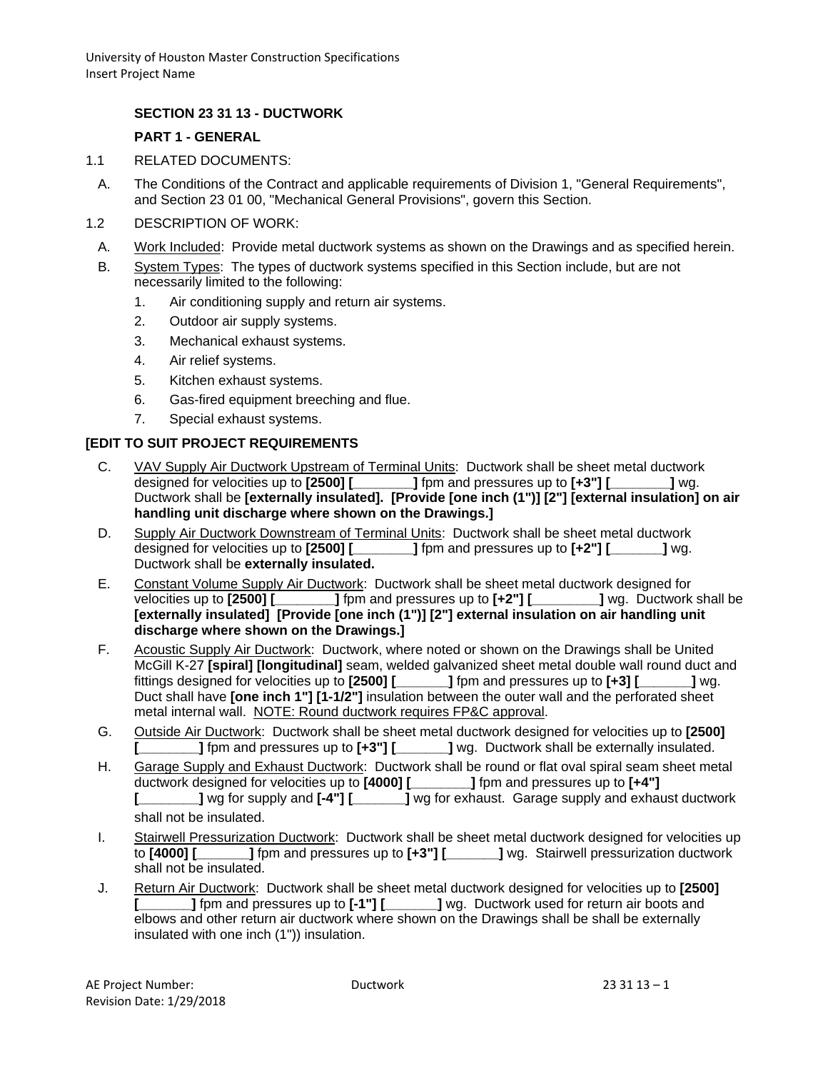## **SECTION 23 31 13 - DUCTWORK**

#### **PART 1 - GENERAL**

- 1.1 RELATED DOCUMENTS:
	- A. The Conditions of the Contract and applicable requirements of Division 1, "General Requirements", and Section 23 01 00, "Mechanical General Provisions", govern this Section.
- 1.2 DESCRIPTION OF WORK:
- A. Work Included: Provide metal ductwork systems as shown on the Drawings and as specified herein.
- B. System Types: The types of ductwork systems specified in this Section include, but are not necessarily limited to the following:
	- 1. Air conditioning supply and return air systems.
	- 2. Outdoor air supply systems.
	- 3. Mechanical exhaust systems.
	- 4. Air relief systems.
	- 5. Kitchen exhaust systems.
	- 6. Gas-fired equipment breeching and flue.
	- 7. Special exhaust systems.

#### **[EDIT TO SUIT PROJECT REQUIREMENTS**

- C. VAV Supply Air Ductwork Upstream of Terminal Units: Ductwork shall be sheet metal ductwork designed for velocities up to **[2500] [\_\_\_\_\_\_\_\_]** fpm and pressures up to **[+3"] [\_\_\_\_\_\_\_\_]** wg. Ductwork shall be **[externally insulated]. [Provide [one inch (1")] [2"] [external insulation] on air handling unit discharge where shown on the Drawings.]**
- D. Supply Air Ductwork Downstream of Terminal Units: Ductwork shall be sheet metal ductwork designed for velocities up to **[2500] [\_\_\_\_\_\_\_\_]** fpm and pressures up to **[+2"] [\_\_\_\_\_\_\_]** wg. Ductwork shall be **externally insulated.**
- E. Constant Volume Supply Air Ductwork: Ductwork shall be sheet metal ductwork designed for velocities up to **[2500] [\_\_\_\_\_\_\_\_]** fpm and pressures up to **[+2"] [\_\_\_\_\_\_\_\_\_]** wg. Ductwork shall be **[externally insulated] [Provide [one inch (1")] [2"] external insulation on air handling unit discharge where shown on the Drawings.]**
- F. Acoustic Supply Air Ductwork: Ductwork, where noted or shown on the Drawings shall be United McGill K-27 **[spiral] [longitudinal]** seam, welded galvanized sheet metal double wall round duct and fittings designed for velocities up to **[2500] [\_\_\_\_\_\_\_]** fpm and pressures up to **[+3] [\_\_\_\_\_\_\_]** wg. Duct shall have **[one inch 1"] [1-1/2"]** insulation between the outer wall and the perforated sheet metal internal wall. NOTE: Round ductwork requires FP&C approval.
- G. Outside Air Ductwork: Ductwork shall be sheet metal ductwork designed for velocities up to **[2500] [\_\_\_\_\_\_\_\_]** fpm and pressures up to **[+3"] [\_\_\_\_\_\_\_]** wg. Ductwork shall be externally insulated.
- H. Garage Supply and Exhaust Ductwork: Ductwork shall be round or flat oval spiral seam sheet metal ductwork designed for velocities up to **[4000] [\_\_\_\_\_\_\_\_]** fpm and pressures up to **[+4"] [\_\_\_\_\_\_\_\_]** wg for supply and **[-4"] [\_\_\_\_\_\_\_]** wg for exhaust. Garage supply and exhaust ductwork shall not be insulated.
- I. Stairwell Pressurization Ductwork: Ductwork shall be sheet metal ductwork designed for velocities up to **[4000] [\_\_\_\_\_\_\_]** fpm and pressures up to **[+3"] [\_\_\_\_\_\_\_]** wg. Stairwell pressurization ductwork shall not be insulated.
- J. Return Air Ductwork: Ductwork shall be sheet metal ductwork designed for velocities up to **[2500] [\_\_\_\_\_\_\_]** fpm and pressures up to **[-1"] [\_\_\_\_\_\_\_]** wg. Ductwork used for return air boots and elbows and other return air ductwork where shown on the Drawings shall be shall be externally insulated with one inch (1")) insulation.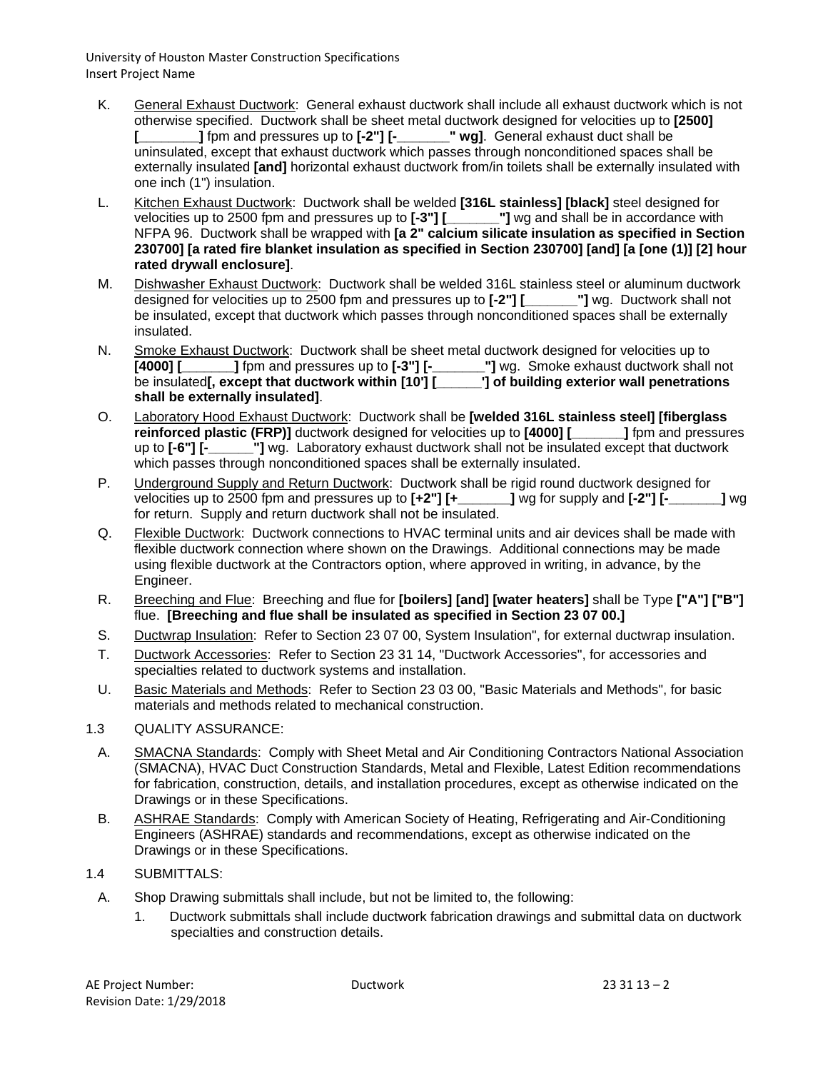- K. General Exhaust Ductwork: General exhaust ductwork shall include all exhaust ductwork which is not otherwise specified. Ductwork shall be sheet metal ductwork designed for velocities up to **[2500] [\_\_\_\_\_\_\_\_]** fpm and pressures up to  $[-2^{\circ}]$   $[$ uninsulated, except that exhaust ductwork which passes through nonconditioned spaces shall be externally insulated **[and]** horizontal exhaust ductwork from/in toilets shall be externally insulated with one inch (1") insulation.
- L. Kitchen Exhaust Ductwork: Ductwork shall be welded **[316L stainless] [black]** steel designed for velocities up to 2500 fpm and pressures up to **[-3"] [\_\_\_\_\_\_\_"]** wg and shall be in accordance with NFPA 96. Ductwork shall be wrapped with **[a 2" calcium silicate insulation as specified in Section 230700] [a rated fire blanket insulation as specified in Section 230700] [and] [a [one (1)] [2] hour rated drywall enclosure]**.
- M. Dishwasher Exhaust Ductwork: Ductwork shall be welded 316L stainless steel or aluminum ductwork designed for velocities up to 2500 fpm and pressures up to **[-2"] [\_\_\_\_\_\_\_"]** wg. Ductwork shall not be insulated, except that ductwork which passes through nonconditioned spaces shall be externally insulated.
- N. Smoke Exhaust Ductwork: Ductwork shall be sheet metal ductwork designed for velocities up to **[4000] [\_\_\_\_\_\_\_]** fpm and pressures up to **[-3"] [-\_\_\_\_\_\_\_"]** wg. Smoke exhaust ductwork shall not be insulated**[, except that ductwork within [10'] [\_\_\_\_\_\_\_\_'] of building exterior wall penetrations shall be externally insulated]**.
- O. Laboratory Hood Exhaust Ductwork: Ductwork shall be **[welded 316L stainless steel] [fiberglass reinforced plastic (FRP)]** ductwork designed for velocities up to **[4000]** [<br>up to **[-6"] [-** [1] wg. Laboratory exhaust ductwork shall not be insulated of <sup>1</sup>] wg. Laboratory exhaust ductwork shall not be insulated except that ductwork which passes through nonconditioned spaces shall be externally insulated.
- P. Underground Supply and Return Ductwork: Ductwork shall be rigid round ductwork designed for velocities up to 2500 fpm and pressures up to **[+2"] [+\_\_\_\_\_\_\_]** wg for supply and **[-2"] [-\_\_\_\_\_\_\_]** wg for return. Supply and return ductwork shall not be insulated.
- Q. Flexible Ductwork: Ductwork connections to HVAC terminal units and air devices shall be made with flexible ductwork connection where shown on the Drawings. Additional connections may be made using flexible ductwork at the Contractors option, where approved in writing, in advance, by the Engineer.
- R. Breeching and Flue: Breeching and flue for **[boilers] [and] [water heaters]** shall be Type **["A"] ["B"]** flue. **[Breeching and flue shall be insulated as specified in Section 23 07 00.]**
- S. Ductwrap Insulation: Refer to Section 23 07 00, System Insulation", for external ductwrap insulation.
- T. Ductwork Accessories: Refer to Section 23 31 14, "Ductwork Accessories", for accessories and specialties related to ductwork systems and installation.
- U. Basic Materials and Methods: Refer to Section 23 03 00, "Basic Materials and Methods", for basic materials and methods related to mechanical construction.
- 1.3 QUALITY ASSURANCE:
	- A. SMACNA Standards: Comply with Sheet Metal and Air Conditioning Contractors National Association (SMACNA), HVAC Duct Construction Standards, Metal and Flexible, Latest Edition recommendations for fabrication, construction, details, and installation procedures, except as otherwise indicated on the Drawings or in these Specifications.
	- B. ASHRAE Standards: Comply with American Society of Heating, Refrigerating and Air-Conditioning Engineers (ASHRAE) standards and recommendations, except as otherwise indicated on the Drawings or in these Specifications.
- 1.4 SUBMITTALS:
	- A. Shop Drawing submittals shall include, but not be limited to, the following:
		- 1. Ductwork submittals shall include ductwork fabrication drawings and submittal data on ductwork specialties and construction details.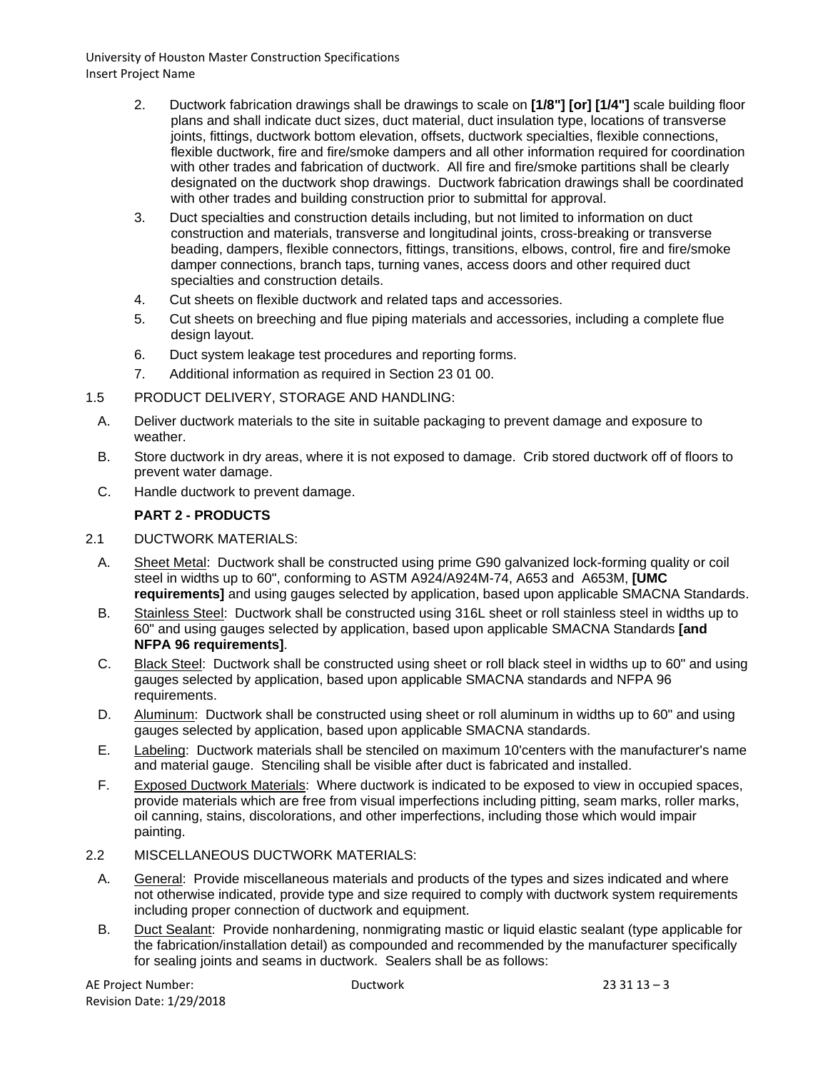- 2. Ductwork fabrication drawings shall be drawings to scale on **[1/8"] [or] [1/4"]** scale building floor plans and shall indicate duct sizes, duct material, duct insulation type, locations of transverse joints, fittings, ductwork bottom elevation, offsets, ductwork specialties, flexible connections, flexible ductwork, fire and fire/smoke dampers and all other information required for coordination with other trades and fabrication of ductwork. All fire and fire/smoke partitions shall be clearly designated on the ductwork shop drawings. Ductwork fabrication drawings shall be coordinated with other trades and building construction prior to submittal for approval.
- 3. Duct specialties and construction details including, but not limited to information on duct construction and materials, transverse and longitudinal joints, cross-breaking or transverse beading, dampers, flexible connectors, fittings, transitions, elbows, control, fire and fire/smoke damper connections, branch taps, turning vanes, access doors and other required duct specialties and construction details.
- 4. Cut sheets on flexible ductwork and related taps and accessories.
- 5. Cut sheets on breeching and flue piping materials and accessories, including a complete flue design layout.
- 6. Duct system leakage test procedures and reporting forms.
- 7. Additional information as required in Section 23 01 00.
- 1.5 PRODUCT DELIVERY, STORAGE AND HANDLING:
	- A. Deliver ductwork materials to the site in suitable packaging to prevent damage and exposure to weather.
	- B. Store ductwork in dry areas, where it is not exposed to damage. Crib stored ductwork off of floors to prevent water damage.
	- C. Handle ductwork to prevent damage.

## **PART 2 - PRODUCTS**

#### 2.1 DUCTWORK MATERIALS:

- A. Sheet Metal: Ductwork shall be constructed using prime G90 galvanized lock-forming quality or coil steel in widths up to 60", conforming to ASTM A924/A924M-74, A653 and A653M, **[UMC requirements]** and using gauges selected by application, based upon applicable SMACNA Standards.
- B. Stainless Steel: Ductwork shall be constructed using 316L sheet or roll stainless steel in widths up to 60" and using gauges selected by application, based upon applicable SMACNA Standards **[and NFPA 96 requirements]**.
- C. Black Steel: Ductwork shall be constructed using sheet or roll black steel in widths up to 60" and using gauges selected by application, based upon applicable SMACNA standards and NFPA 96 requirements.
- D. Aluminum: Ductwork shall be constructed using sheet or roll aluminum in widths up to 60" and using gauges selected by application, based upon applicable SMACNA standards.
- E. Labeling: Ductwork materials shall be stenciled on maximum 10'centers with the manufacturer's name and material gauge. Stenciling shall be visible after duct is fabricated and installed.
- F. Exposed Ductwork Materials: Where ductwork is indicated to be exposed to view in occupied spaces, provide materials which are free from visual imperfections including pitting, seam marks, roller marks, oil canning, stains, discolorations, and other imperfections, including those which would impair painting.
- 2.2 MISCELLANEOUS DUCTWORK MATERIALS:
	- A. General: Provide miscellaneous materials and products of the types and sizes indicated and where not otherwise indicated, provide type and size required to comply with ductwork system requirements including proper connection of ductwork and equipment.
	- B. Duct Sealant: Provide nonhardening, nonmigrating mastic or liquid elastic sealant (type applicable for the fabrication/installation detail) as compounded and recommended by the manufacturer specifically for sealing joints and seams in ductwork. Sealers shall be as follows: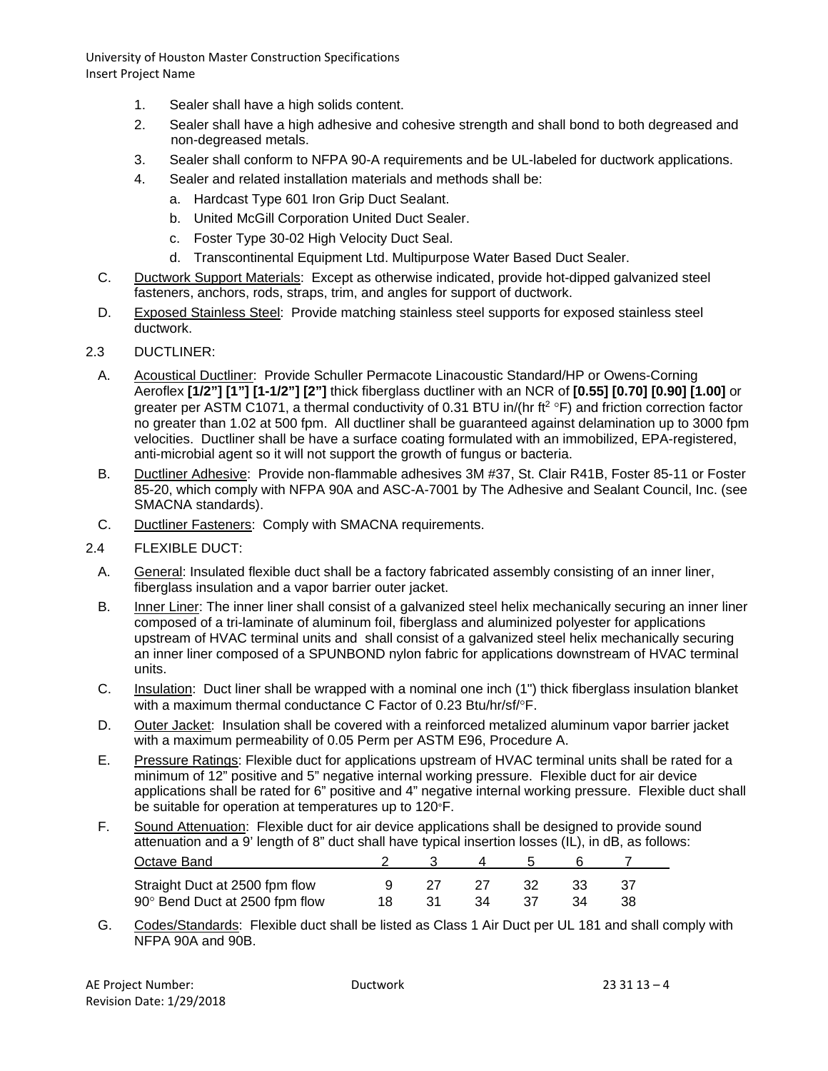- 1. Sealer shall have a high solids content.
- 2. Sealer shall have a high adhesive and cohesive strength and shall bond to both degreased and non-degreased metals.
- 3. Sealer shall conform to NFPA 90-A requirements and be UL-labeled for ductwork applications.
- 4. Sealer and related installation materials and methods shall be:
	- a. Hardcast Type 601 Iron Grip Duct Sealant.
	- b. United McGill Corporation United Duct Sealer.
	- c. Foster Type 30-02 High Velocity Duct Seal.
	- d. Transcontinental Equipment Ltd. Multipurpose Water Based Duct Sealer.
- C. Ductwork Support Materials: Except as otherwise indicated, provide hot-dipped galvanized steel fasteners, anchors, rods, straps, trim, and angles for support of ductwork.
- D. Exposed Stainless Steel: Provide matching stainless steel supports for exposed stainless steel ductwork.

#### 2.3 DUCTLINER:

- A. Acoustical Ductliner: Provide Schuller Permacote Linacoustic Standard/HP or Owens-Corning Aeroflex **[1/2"] [1"] [1-1/2"] [2"]** thick fiberglass ductliner with an NCR of **[0.55] [0.70] [0.90] [1.00]** or greater per ASTM C1071, a thermal conductivity of 0.31 BTU in/(hr  $ft^2 \circ F$ ) and friction correction factor no greater than 1.02 at 500 fpm. All ductliner shall be guaranteed against delamination up to 3000 fpm velocities. Ductliner shall be have a surface coating formulated with an immobilized, EPA-registered, anti-microbial agent so it will not support the growth of fungus or bacteria.
- B. Ductliner Adhesive: Provide non-flammable adhesives 3M #37, St. Clair R41B, Foster 85-11 or Foster 85-20, which comply with NFPA 90A and ASC-A-7001 by The Adhesive and Sealant Council, Inc. (see SMACNA standards).
- C. Ductliner Fasteners: Comply with SMACNA requirements.
- 2.4 FLEXIBLE DUCT:
	- A. General: Insulated flexible duct shall be a factory fabricated assembly consisting of an inner liner, fiberglass insulation and a vapor barrier outer jacket.
	- B. Inner Liner: The inner liner shall consist of a galvanized steel helix mechanically securing an inner liner composed of a tri-laminate of aluminum foil, fiberglass and aluminized polyester for applications upstream of HVAC terminal units and shall consist of a galvanized steel helix mechanically securing an inner liner composed of a SPUNBOND nylon fabric for applications downstream of HVAC terminal units.
	- C. Insulation: Duct liner shall be wrapped with a nominal one inch (1") thick fiberglass insulation blanket with a maximum thermal conductance C Factor of 0.23 Btu/hr/sf/°F.
	- D. Outer Jacket: Insulation shall be covered with a reinforced metalized aluminum vapor barrier jacket with a maximum permeability of 0.05 Perm per ASTM E96, Procedure A.
	- E. Pressure Ratings: Flexible duct for applications upstream of HVAC terminal units shall be rated for a minimum of 12" positive and 5" negative internal working pressure. Flexible duct for air device applications shall be rated for 6" positive and 4" negative internal working pressure. Flexible duct shall be suitable for operation at temperatures up to 120°F.
	- F. Sound Attenuation: Flexible duct for air device applications shall be designed to provide sound attenuation and a 9' length of 8" duct shall have typical insertion losses (IL), in dB, as follows: Octave Band 2 3 4 5 6 7

| Straight Duct at 2500 fpm flow |  | 9 27 27 32 33 37  |  |  |
|--------------------------------|--|-------------------|--|--|
| 90° Bend Duct at 2500 fpm flow |  | 18 31 34 37 34 38 |  |  |

G. Codes/Standards: Flexible duct shall be listed as Class 1 Air Duct per UL 181 and shall comply with NFPA 90A and 90B.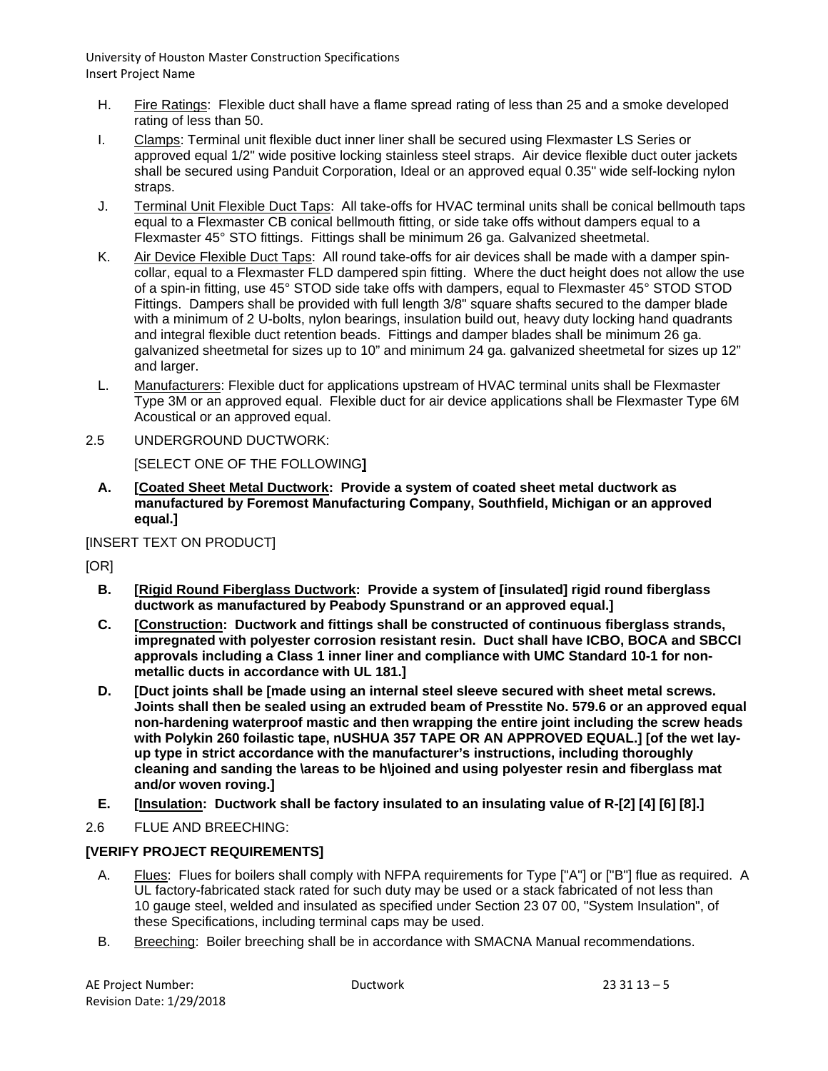- H. Fire Ratings: Flexible duct shall have a flame spread rating of less than 25 and a smoke developed rating of less than 50.
- I. Clamps: Terminal unit flexible duct inner liner shall be secured using Flexmaster LS Series or approved equal 1/2" wide positive locking stainless steel straps. Air device flexible duct outer jackets shall be secured using Panduit Corporation, Ideal or an approved equal 0.35" wide self-locking nylon straps.
- J. Terminal Unit Flexible Duct Taps: All take-offs for HVAC terminal units shall be conical bellmouth taps equal to a Flexmaster CB conical bellmouth fitting, or side take offs without dampers equal to a Flexmaster 45° STO fittings. Fittings shall be minimum 26 ga. Galvanized sheetmetal.
- K. Air Device Flexible Duct Taps: All round take-offs for air devices shall be made with a damper spincollar, equal to a Flexmaster FLD dampered spin fitting. Where the duct height does not allow the use of a spin-in fitting, use 45° STOD side take offs with dampers, equal to Flexmaster 45° STOD STOD Fittings. Dampers shall be provided with full length 3/8" square shafts secured to the damper blade with a minimum of 2 U-bolts, nylon bearings, insulation build out, heavy duty locking hand quadrants and integral flexible duct retention beads. Fittings and damper blades shall be minimum 26 ga. galvanized sheetmetal for sizes up to 10" and minimum 24 ga. galvanized sheetmetal for sizes up 12" and larger.
- L. Manufacturers: Flexible duct for applications upstream of HVAC terminal units shall be Flexmaster Type 3M or an approved equal. Flexible duct for air device applications shall be Flexmaster Type 6M Acoustical or an approved equal.
- 2.5 UNDERGROUND DUCTWORK:

[SELECT ONE OF THE FOLLOWING**]**

**A. [Coated Sheet Metal Ductwork: Provide a system of coated sheet metal ductwork as manufactured by Foremost Manufacturing Company, Southfield, Michigan or an approved equal.]**

[INSERT TEXT ON PRODUCT]

[OR]

- **B. [Rigid Round Fiberglass Ductwork: Provide a system of [insulated] rigid round fiberglass ductwork as manufactured by Peabody Spunstrand or an approved equal.]**
- **C. [Construction: Ductwork and fittings shall be constructed of continuous fiberglass strands, impregnated with polyester corrosion resistant resin. Duct shall have ICBO, BOCA and SBCCI approvals including a Class 1 inner liner and compliance with UMC Standard 10-1 for nonmetallic ducts in accordance with UL 181.]**
- **D. [Duct joints shall be [made using an internal steel sleeve secured with sheet metal screws. Joints shall then be sealed using an extruded beam of Presstite No. 579.6 or an approved equal non-hardening waterproof mastic and then wrapping the entire joint including the screw heads with Polykin 260 foilastic tape, nUSHUA 357 TAPE OR AN APPROVED EQUAL.] [of the wet layup type in strict accordance with the manufacturer's instructions, including thoroughly cleaning and sanding the \areas to be h\joined and using polyester resin and fiberglass mat and/or woven roving.]**
- **E. [Insulation: Ductwork shall be factory insulated to an insulating value of R-[2] [4] [6] [8].]**
- 2.6 FLUE AND BREECHING:

# **[VERIFY PROJECT REQUIREMENTS]**

- A. Flues: Flues for boilers shall comply with NFPA requirements for Type ["A"] or ["B"] flue as required. A UL factory-fabricated stack rated for such duty may be used or a stack fabricated of not less than 10 gauge steel, welded and insulated as specified under Section 23 07 00, "System Insulation", of these Specifications, including terminal caps may be used.
- B. Breeching: Boiler breeching shall be in accordance with SMACNA Manual recommendations.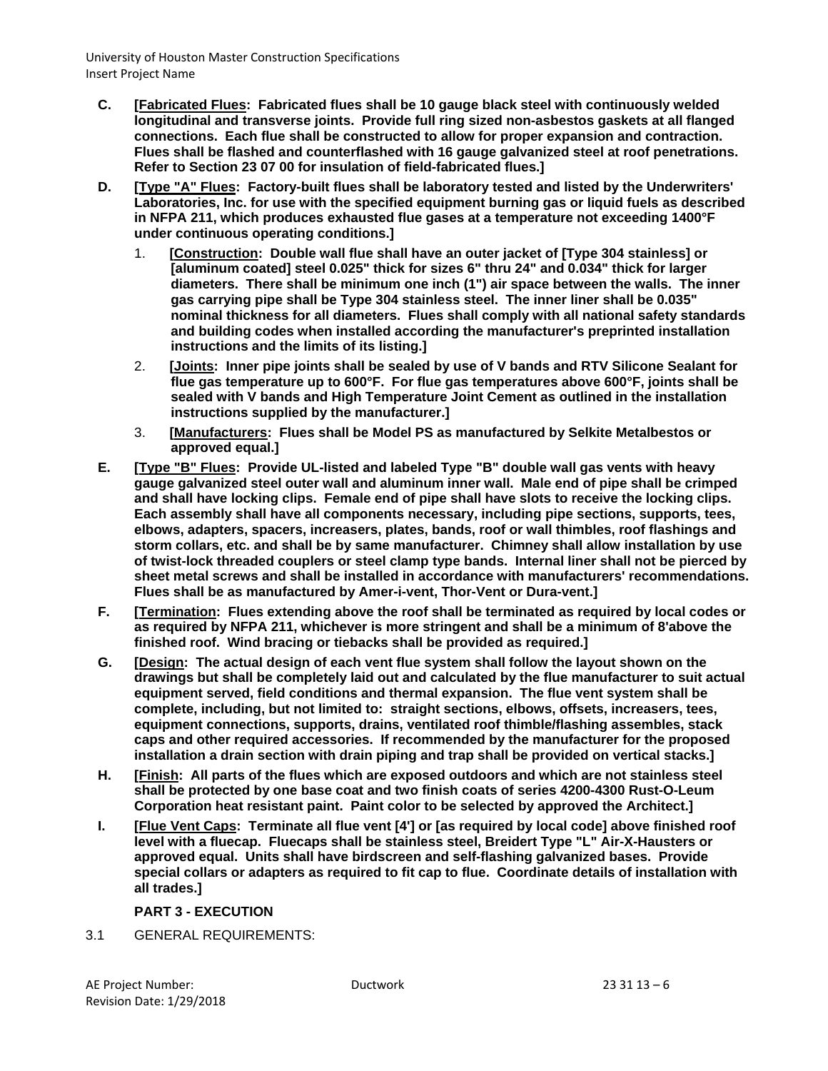- **C. [Fabricated Flues: Fabricated flues shall be 10 gauge black steel with continuously welded longitudinal and transverse joints. Provide full ring sized non-asbestos gaskets at all flanged connections. Each flue shall be constructed to allow for proper expansion and contraction. Flues shall be flashed and counterflashed with 16 gauge galvanized steel at roof penetrations. Refer to Section 23 07 00 for insulation of field-fabricated flues.]**
- **D. [Type "A" Flues: Factory-built flues shall be laboratory tested and listed by the Underwriters' Laboratories, Inc. for use with the specified equipment burning gas or liquid fuels as described in NFPA 211, which produces exhausted flue gases at a temperature not exceeding 1400°F under continuous operating conditions.]**
	- 1. **[Construction: Double wall flue shall have an outer jacket of [Type 304 stainless] or [aluminum coated] steel 0.025" thick for sizes 6" thru 24" and 0.034" thick for larger diameters. There shall be minimum one inch (1") air space between the walls. The inner gas carrying pipe shall be Type 304 stainless steel. The inner liner shall be 0.035" nominal thickness for all diameters. Flues shall comply with all national safety standards and building codes when installed according the manufacturer's preprinted installation instructions and the limits of its listing.]**
	- 2. **[Joints: Inner pipe joints shall be sealed by use of V bands and RTV Silicone Sealant for flue gas temperature up to 600°F. For flue gas temperatures above 600°F, joints shall be sealed with V bands and High Temperature Joint Cement as outlined in the installation instructions supplied by the manufacturer.]**
	- 3. **[Manufacturers: Flues shall be Model PS as manufactured by Selkite Metalbestos or approved equal.]**
- **E. [Type "B" Flues: Provide UL-listed and labeled Type "B" double wall gas vents with heavy gauge galvanized steel outer wall and aluminum inner wall. Male end of pipe shall be crimped and shall have locking clips. Female end of pipe shall have slots to receive the locking clips. Each assembly shall have all components necessary, including pipe sections, supports, tees, elbows, adapters, spacers, increasers, plates, bands, roof or wall thimbles, roof flashings and storm collars, etc. and shall be by same manufacturer. Chimney shall allow installation by use of twist-lock threaded couplers or steel clamp type bands. Internal liner shall not be pierced by sheet metal screws and shall be installed in accordance with manufacturers' recommendations. Flues shall be as manufactured by Amer-i-vent, Thor-Vent or Dura-vent.]**
- **F. [Termination: Flues extending above the roof shall be terminated as required by local codes or as required by NFPA 211, whichever is more stringent and shall be a minimum of 8'above the finished roof. Wind bracing or tiebacks shall be provided as required.]**
- **G. [Design: The actual design of each vent flue system shall follow the layout shown on the drawings but shall be completely laid out and calculated by the flue manufacturer to suit actual equipment served, field conditions and thermal expansion. The flue vent system shall be complete, including, but not limited to: straight sections, elbows, offsets, increasers, tees, equipment connections, supports, drains, ventilated roof thimble/flashing assembles, stack caps and other required accessories. If recommended by the manufacturer for the proposed installation a drain section with drain piping and trap shall be provided on vertical stacks.]**
- **H. [Finish: All parts of the flues which are exposed outdoors and which are not stainless steel shall be protected by one base coat and two finish coats of series 4200-4300 Rust-O-Leum Corporation heat resistant paint. Paint color to be selected by approved the Architect.]**
- **I. [Flue Vent Caps: Terminate all flue vent [4'] or [as required by local code] above finished roof level with a fluecap. Fluecaps shall be stainless steel, Breidert Type "L" Air-X-Hausters or approved equal. Units shall have birdscreen and self-flashing galvanized bases. Provide special collars or adapters as required to fit cap to flue. Coordinate details of installation with all trades.]**

## **PART 3 - EXECUTION**

3.1 GENERAL REQUIREMENTS: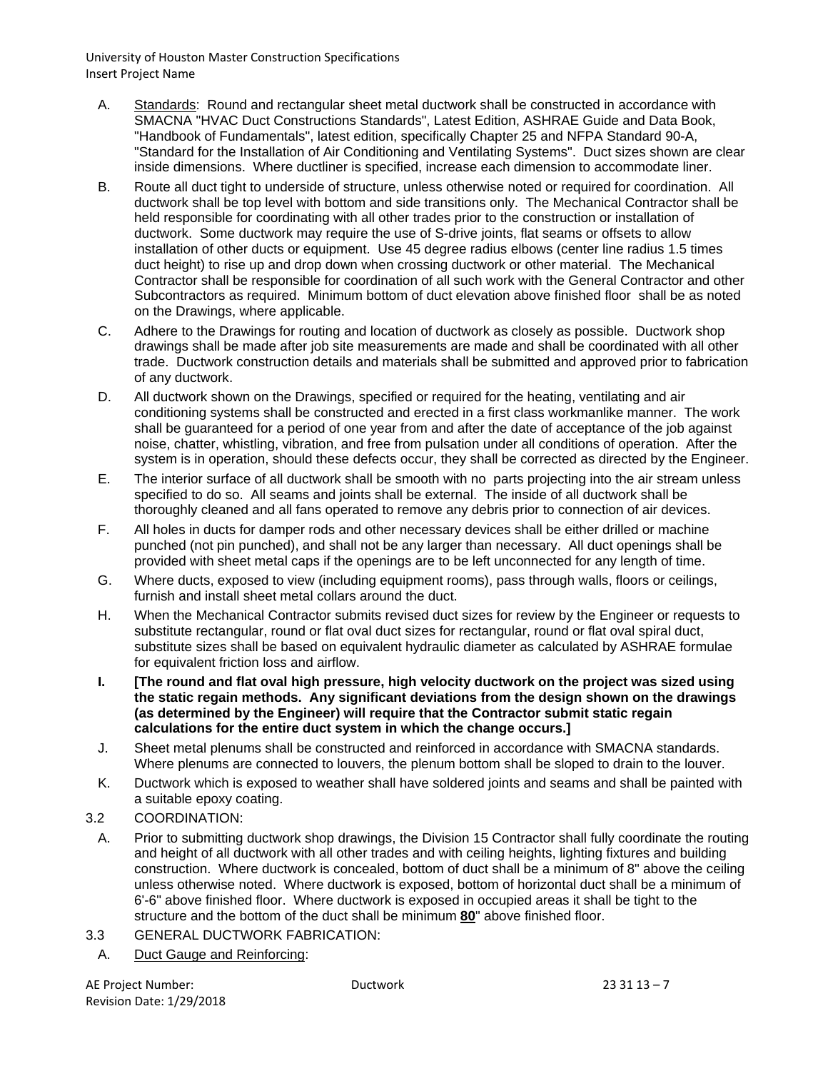- A. Standards: Round and rectangular sheet metal ductwork shall be constructed in accordance with SMACNA "HVAC Duct Constructions Standards", Latest Edition, ASHRAE Guide and Data Book, "Handbook of Fundamentals", latest edition, specifically Chapter 25 and NFPA Standard 90-A, "Standard for the Installation of Air Conditioning and Ventilating Systems". Duct sizes shown are clear inside dimensions. Where ductliner is specified, increase each dimension to accommodate liner.
- B. Route all duct tight to underside of structure, unless otherwise noted or required for coordination. All ductwork shall be top level with bottom and side transitions only. The Mechanical Contractor shall be held responsible for coordinating with all other trades prior to the construction or installation of ductwork. Some ductwork may require the use of S-drive joints, flat seams or offsets to allow installation of other ducts or equipment. Use 45 degree radius elbows (center line radius 1.5 times duct height) to rise up and drop down when crossing ductwork or other material. The Mechanical Contractor shall be responsible for coordination of all such work with the General Contractor and other Subcontractors as required. Minimum bottom of duct elevation above finished floor shall be as noted on the Drawings, where applicable.
- C. Adhere to the Drawings for routing and location of ductwork as closely as possible. Ductwork shop drawings shall be made after job site measurements are made and shall be coordinated with all other trade. Ductwork construction details and materials shall be submitted and approved prior to fabrication of any ductwork.
- D. All ductwork shown on the Drawings, specified or required for the heating, ventilating and air conditioning systems shall be constructed and erected in a first class workmanlike manner. The work shall be guaranteed for a period of one year from and after the date of acceptance of the job against noise, chatter, whistling, vibration, and free from pulsation under all conditions of operation. After the system is in operation, should these defects occur, they shall be corrected as directed by the Engineer.
- E. The interior surface of all ductwork shall be smooth with no parts projecting into the air stream unless specified to do so. All seams and joints shall be external. The inside of all ductwork shall be thoroughly cleaned and all fans operated to remove any debris prior to connection of air devices.
- F. All holes in ducts for damper rods and other necessary devices shall be either drilled or machine punched (not pin punched), and shall not be any larger than necessary. All duct openings shall be provided with sheet metal caps if the openings are to be left unconnected for any length of time.
- G. Where ducts, exposed to view (including equipment rooms), pass through walls, floors or ceilings, furnish and install sheet metal collars around the duct.
- H. When the Mechanical Contractor submits revised duct sizes for review by the Engineer or requests to substitute rectangular, round or flat oval duct sizes for rectangular, round or flat oval spiral duct, substitute sizes shall be based on equivalent hydraulic diameter as calculated by ASHRAE formulae for equivalent friction loss and airflow.
- **I. [The round and flat oval high pressure, high velocity ductwork on the project was sized using the static regain methods. Any significant deviations from the design shown on the drawings (as determined by the Engineer) will require that the Contractor submit static regain calculations for the entire duct system in which the change occurs.]**
- J. Sheet metal plenums shall be constructed and reinforced in accordance with SMACNA standards. Where plenums are connected to louvers, the plenum bottom shall be sloped to drain to the louver.
- K. Ductwork which is exposed to weather shall have soldered joints and seams and shall be painted with a suitable epoxy coating.

## 3.2 COORDINATION:

- A. Prior to submitting ductwork shop drawings, the Division 15 Contractor shall fully coordinate the routing and height of all ductwork with all other trades and with ceiling heights, lighting fixtures and building construction. Where ductwork is concealed, bottom of duct shall be a minimum of 8" above the ceiling unless otherwise noted. Where ductwork is exposed, bottom of horizontal duct shall be a minimum of 6'-6" above finished floor. Where ductwork is exposed in occupied areas it shall be tight to the structure and the bottom of the duct shall be minimum **80**" above finished floor.
- 3.3 GENERAL DUCTWORK FABRICATION:
- A. Duct Gauge and Reinforcing: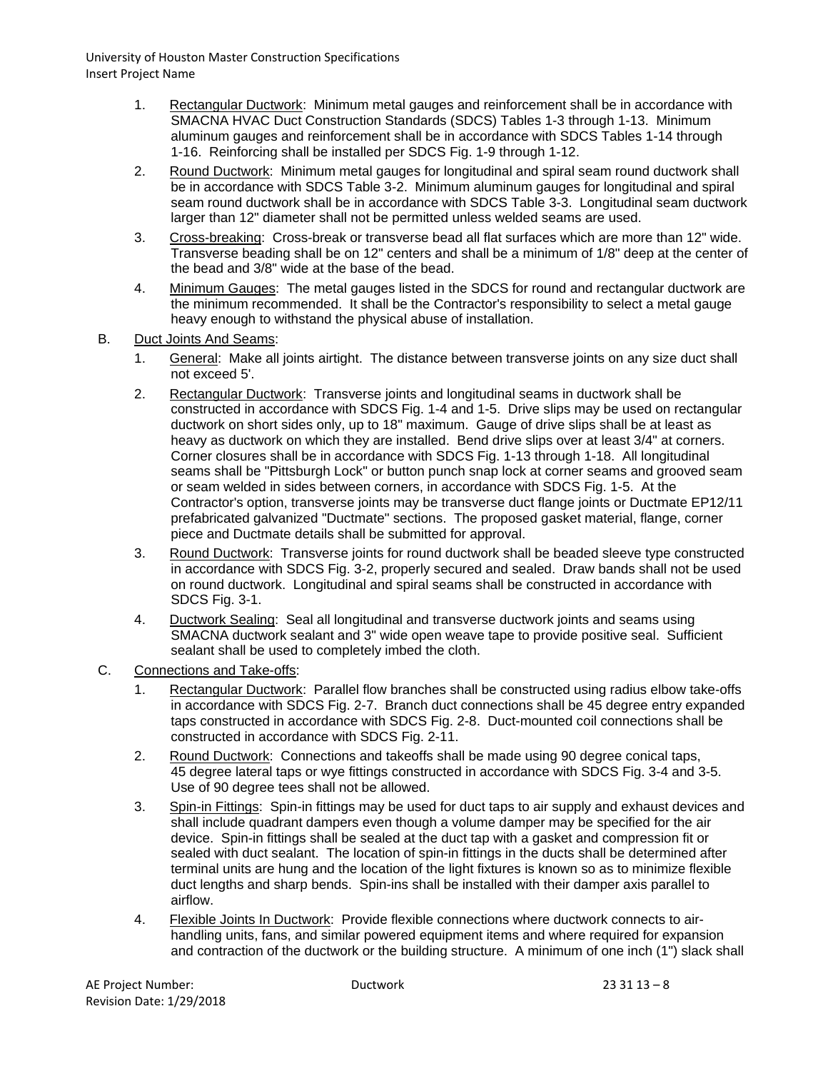- 1. Rectangular Ductwork: Minimum metal gauges and reinforcement shall be in accordance with SMACNA HVAC Duct Construction Standards (SDCS) Tables 1-3 through 1-13. Minimum aluminum gauges and reinforcement shall be in accordance with SDCS Tables 1-14 through 1-16. Reinforcing shall be installed per SDCS Fig. 1-9 through 1-12.
- 2. Round Ductwork: Minimum metal gauges for longitudinal and spiral seam round ductwork shall be in accordance with SDCS Table 3-2. Minimum aluminum gauges for longitudinal and spiral seam round ductwork shall be in accordance with SDCS Table 3-3. Longitudinal seam ductwork larger than 12" diameter shall not be permitted unless welded seams are used.
- 3. Cross-breaking: Cross-break or transverse bead all flat surfaces which are more than 12" wide. Transverse beading shall be on 12" centers and shall be a minimum of 1/8" deep at the center of the bead and 3/8" wide at the base of the bead.
- 4. Minimum Gauges: The metal gauges listed in the SDCS for round and rectangular ductwork are the minimum recommended. It shall be the Contractor's responsibility to select a metal gauge heavy enough to withstand the physical abuse of installation.
- B. Duct Joints And Seams:
	- 1. General: Make all joints airtight. The distance between transverse joints on any size duct shall not exceed 5'.
	- 2. Rectangular Ductwork: Transverse joints and longitudinal seams in ductwork shall be constructed in accordance with SDCS Fig. 1-4 and 1-5. Drive slips may be used on rectangular ductwork on short sides only, up to 18" maximum. Gauge of drive slips shall be at least as heavy as ductwork on which they are installed. Bend drive slips over at least 3/4" at corners. Corner closures shall be in accordance with SDCS Fig. 1-13 through 1-18. All longitudinal seams shall be "Pittsburgh Lock" or button punch snap lock at corner seams and grooved seam or seam welded in sides between corners, in accordance with SDCS Fig. 1-5. At the Contractor's option, transverse joints may be transverse duct flange joints or Ductmate EP12/11 prefabricated galvanized "Ductmate" sections. The proposed gasket material, flange, corner piece and Ductmate details shall be submitted for approval.
	- 3. Round Ductwork: Transverse joints for round ductwork shall be beaded sleeve type constructed in accordance with SDCS Fig. 3-2, properly secured and sealed. Draw bands shall not be used on round ductwork. Longitudinal and spiral seams shall be constructed in accordance with SDCS Fig. 3-1.
	- 4. Ductwork Sealing: Seal all longitudinal and transverse ductwork joints and seams using SMACNA ductwork sealant and 3" wide open weave tape to provide positive seal. Sufficient sealant shall be used to completely imbed the cloth.
- C. Connections and Take-offs:
	- 1. Rectangular Ductwork: Parallel flow branches shall be constructed using radius elbow take-offs in accordance with SDCS Fig. 2-7. Branch duct connections shall be 45 degree entry expanded taps constructed in accordance with SDCS Fig. 2-8. Duct-mounted coil connections shall be constructed in accordance with SDCS Fig. 2-11.
	- 2. Round Ductwork: Connections and takeoffs shall be made using 90 degree conical taps, 45 degree lateral taps or wye fittings constructed in accordance with SDCS Fig. 3-4 and 3-5. Use of 90 degree tees shall not be allowed.
	- 3. Spin-in Fittings: Spin-in fittings may be used for duct taps to air supply and exhaust devices and shall include quadrant dampers even though a volume damper may be specified for the air device. Spin-in fittings shall be sealed at the duct tap with a gasket and compression fit or sealed with duct sealant. The location of spin-in fittings in the ducts shall be determined after terminal units are hung and the location of the light fixtures is known so as to minimize flexible duct lengths and sharp bends. Spin-ins shall be installed with their damper axis parallel to airflow.
	- 4. Flexible Joints In Ductwork: Provide flexible connections where ductwork connects to airhandling units, fans, and similar powered equipment items and where required for expansion and contraction of the ductwork or the building structure. A minimum of one inch (1") slack shall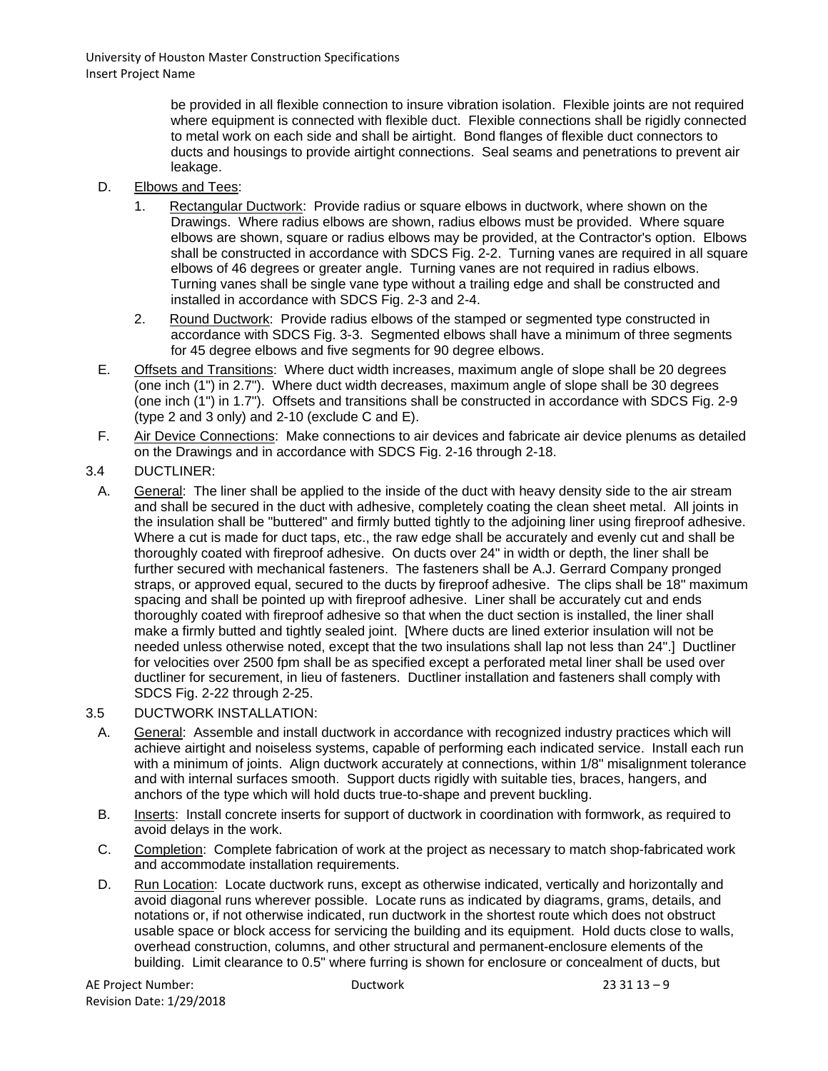> be provided in all flexible connection to insure vibration isolation. Flexible joints are not required where equipment is connected with flexible duct. Flexible connections shall be rigidly connected to metal work on each side and shall be airtight. Bond flanges of flexible duct connectors to ducts and housings to provide airtight connections. Seal seams and penetrations to prevent air leakage.

- D. Elbows and Tees:
	- 1. Rectangular Ductwork: Provide radius or square elbows in ductwork, where shown on the Drawings. Where radius elbows are shown, radius elbows must be provided. Where square elbows are shown, square or radius elbows may be provided, at the Contractor's option. Elbows shall be constructed in accordance with SDCS Fig. 2-2. Turning vanes are required in all square elbows of 46 degrees or greater angle. Turning vanes are not required in radius elbows. Turning vanes shall be single vane type without a trailing edge and shall be constructed and installed in accordance with SDCS Fig. 2-3 and 2-4.
	- 2. Round Ductwork: Provide radius elbows of the stamped or segmented type constructed in accordance with SDCS Fig. 3-3. Segmented elbows shall have a minimum of three segments for 45 degree elbows and five segments for 90 degree elbows.
- E. Offsets and Transitions: Where duct width increases, maximum angle of slope shall be 20 degrees (one inch (1") in 2.7"). Where duct width decreases, maximum angle of slope shall be 30 degrees (one inch (1") in 1.7"). Offsets and transitions shall be constructed in accordance with SDCS Fig. 2-9 (type 2 and 3 only) and 2-10 (exclude C and E).
- F. Air Device Connections: Make connections to air devices and fabricate air device plenums as detailed on the Drawings and in accordance with SDCS Fig. 2-16 through 2-18.
- 3.4 DUCTLINER:
	- A. General: The liner shall be applied to the inside of the duct with heavy density side to the air stream and shall be secured in the duct with adhesive, completely coating the clean sheet metal. All joints in the insulation shall be "buttered" and firmly butted tightly to the adjoining liner using fireproof adhesive. Where a cut is made for duct taps, etc., the raw edge shall be accurately and evenly cut and shall be thoroughly coated with fireproof adhesive. On ducts over 24" in width or depth, the liner shall be further secured with mechanical fasteners. The fasteners shall be A.J. Gerrard Company pronged straps, or approved equal, secured to the ducts by fireproof adhesive. The clips shall be 18" maximum spacing and shall be pointed up with fireproof adhesive. Liner shall be accurately cut and ends thoroughly coated with fireproof adhesive so that when the duct section is installed, the liner shall make a firmly butted and tightly sealed joint. [Where ducts are lined exterior insulation will not be needed unless otherwise noted, except that the two insulations shall lap not less than 24".] Ductliner for velocities over 2500 fpm shall be as specified except a perforated metal liner shall be used over ductliner for securement, in lieu of fasteners. Ductliner installation and fasteners shall comply with SDCS Fig. 2-22 through 2-25.

#### 3.5 DUCTWORK INSTALLATION:

- A. General: Assemble and install ductwork in accordance with recognized industry practices which will achieve airtight and noiseless systems, capable of performing each indicated service. Install each run with a minimum of joints. Align ductwork accurately at connections, within 1/8" misalignment tolerance and with internal surfaces smooth. Support ducts rigidly with suitable ties, braces, hangers, and anchors of the type which will hold ducts true-to-shape and prevent buckling.
- B. Inserts: Install concrete inserts for support of ductwork in coordination with formwork, as required to avoid delays in the work.
- C. Completion: Complete fabrication of work at the project as necessary to match shop-fabricated work and accommodate installation requirements.
- D. Run Location: Locate ductwork runs, except as otherwise indicated, vertically and horizontally and avoid diagonal runs wherever possible. Locate runs as indicated by diagrams, grams, details, and notations or, if not otherwise indicated, run ductwork in the shortest route which does not obstruct usable space or block access for servicing the building and its equipment. Hold ducts close to walls, overhead construction, columns, and other structural and permanent-enclosure elements of the building. Limit clearance to 0.5" where furring is shown for enclosure or concealment of ducts, but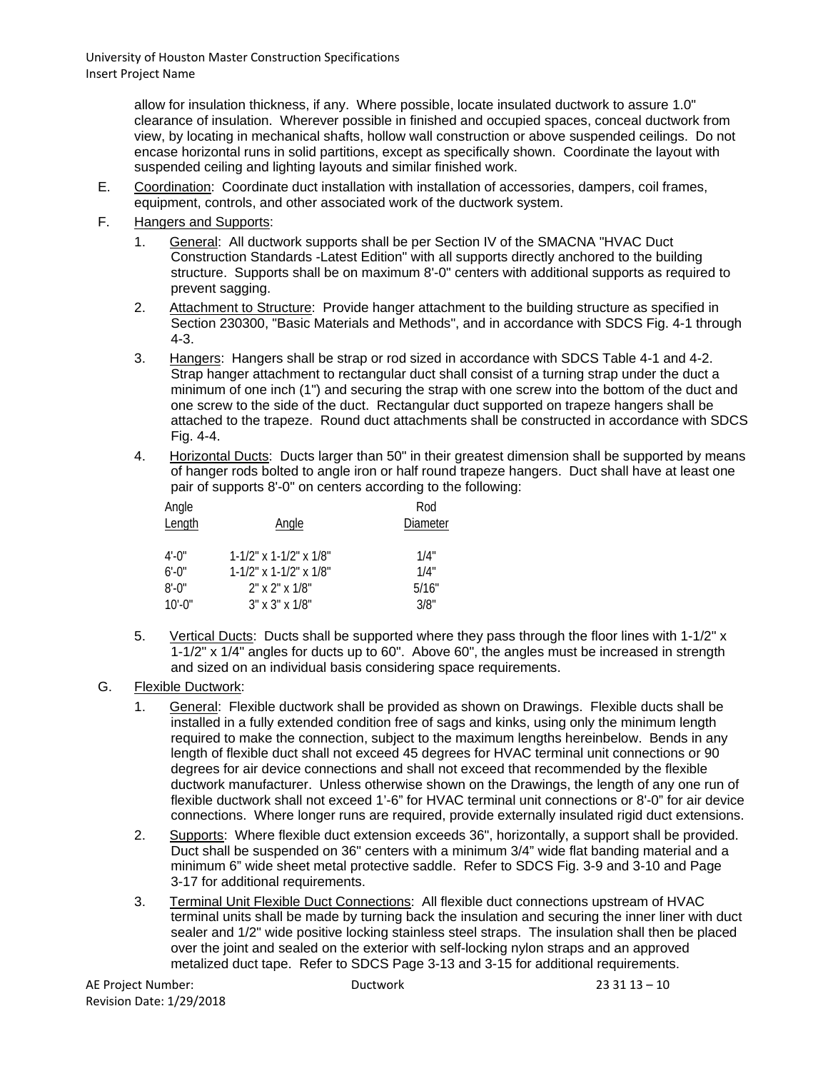> allow for insulation thickness, if any. Where possible, locate insulated ductwork to assure 1.0" clearance of insulation. Wherever possible in finished and occupied spaces, conceal ductwork from view, by locating in mechanical shafts, hollow wall construction or above suspended ceilings. Do not encase horizontal runs in solid partitions, except as specifically shown. Coordinate the layout with suspended ceiling and lighting layouts and similar finished work.

- E. Coordination: Coordinate duct installation with installation of accessories, dampers, coil frames, equipment, controls, and other associated work of the ductwork system.
- F. Hangers and Supports:
	- 1. General: All ductwork supports shall be per Section IV of the SMACNA "HVAC Duct Construction Standards -Latest Edition" with all supports directly anchored to the building structure. Supports shall be on maximum 8'-0" centers with additional supports as required to prevent sagging.
	- 2. Attachment to Structure: Provide hanger attachment to the building structure as specified in Section 230300, "Basic Materials and Methods", and in accordance with SDCS Fig. 4-1 through 4-3.
	- 3. Hangers: Hangers shall be strap or rod sized in accordance with SDCS Table 4-1 and 4-2. Strap hanger attachment to rectangular duct shall consist of a turning strap under the duct a minimum of one inch (1") and securing the strap with one screw into the bottom of the duct and one screw to the side of the duct. Rectangular duct supported on trapeze hangers shall be attached to the trapeze. Round duct attachments shall be constructed in accordance with SDCS Fig. 4-4.
	- 4. Horizontal Ducts: Ducts larger than 50" in their greatest dimension shall be supported by means of hanger rods bolted to angle iron or half round trapeze hangers. Duct shall have at least one pair of supports 8'-0" on centers according to the following:

| Angle     |                                 | Rod<br>Diameter |  |  |
|-----------|---------------------------------|-----------------|--|--|
| Length    | Angle                           |                 |  |  |
|           |                                 |                 |  |  |
| 4'-0"     | $1-1/2$ " x $1-1/2$ " x $1/8$ " | 1/4"            |  |  |
| $6'$ -0"  | $1-1/2$ " x $1-1/2$ " x $1/8$ " | 1/4"            |  |  |
| $8'$ -0"  | $2"$ x $2"$ x $1/8"$            | 5/16"           |  |  |
| $10'$ -0" | $3" \times 3" \times 1/8"$      | 3/8"            |  |  |

- 5. Vertical Ducts: Ducts shall be supported where they pass through the floor lines with 1-1/2" x 1-1/2" x 1/4" angles for ducts up to 60". Above 60", the angles must be increased in strength and sized on an individual basis considering space requirements.
- G. Flexible Ductwork:
	- 1. General: Flexible ductwork shall be provided as shown on Drawings. Flexible ducts shall be installed in a fully extended condition free of sags and kinks, using only the minimum length required to make the connection, subject to the maximum lengths hereinbelow. Bends in any length of flexible duct shall not exceed 45 degrees for HVAC terminal unit connections or 90 degrees for air device connections and shall not exceed that recommended by the flexible ductwork manufacturer. Unless otherwise shown on the Drawings, the length of any one run of flexible ductwork shall not exceed 1'-6" for HVAC terminal unit connections or 8'-0" for air device connections. Where longer runs are required, provide externally insulated rigid duct extensions.
	- 2. Supports: Where flexible duct extension exceeds 36", horizontally, a support shall be provided. Duct shall be suspended on 36" centers with a minimum 3/4" wide flat banding material and a minimum 6" wide sheet metal protective saddle. Refer to SDCS Fig. 3-9 and 3-10 and Page 3-17 for additional requirements.
	- 3. Terminal Unit Flexible Duct Connections: All flexible duct connections upstream of HVAC terminal units shall be made by turning back the insulation and securing the inner liner with duct sealer and 1/2" wide positive locking stainless steel straps. The insulation shall then be placed over the joint and sealed on the exterior with self-locking nylon straps and an approved metalized duct tape. Refer to SDCS Page 3-13 and 3-15 for additional requirements.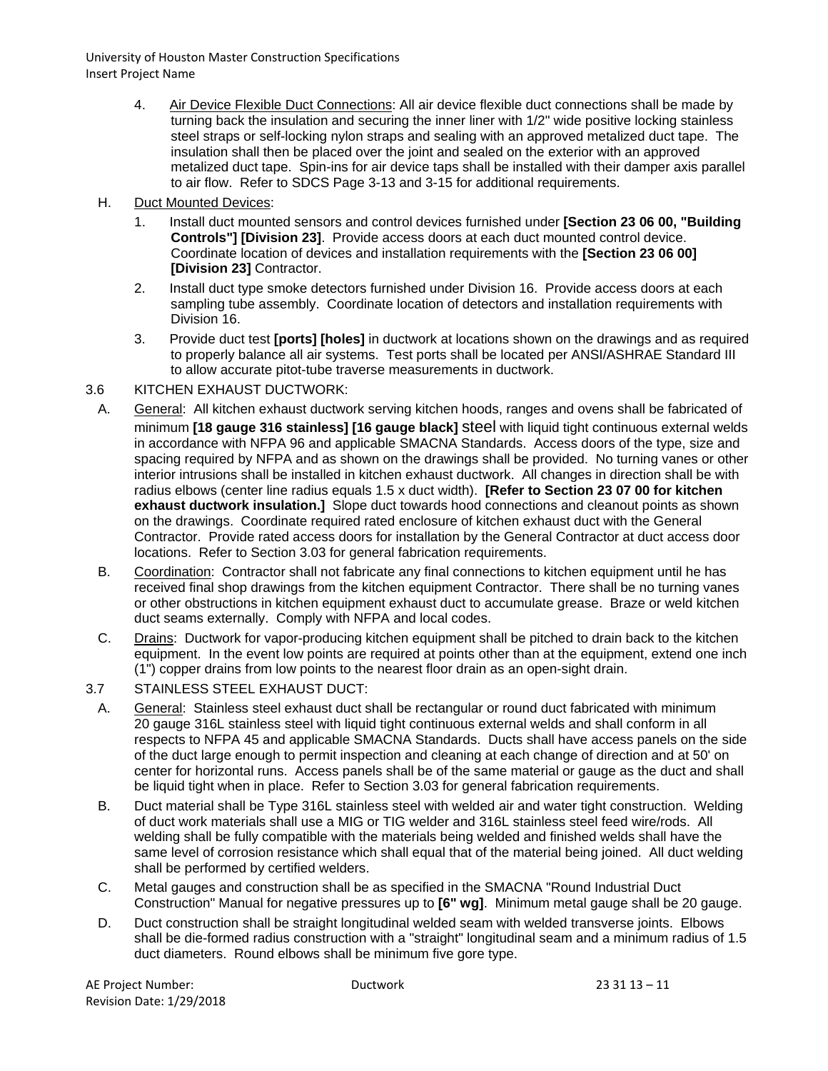- 4. Air Device Flexible Duct Connections: All air device flexible duct connections shall be made by turning back the insulation and securing the inner liner with 1/2" wide positive locking stainless steel straps or self-locking nylon straps and sealing with an approved metalized duct tape. The insulation shall then be placed over the joint and sealed on the exterior with an approved metalized duct tape. Spin-ins for air device taps shall be installed with their damper axis parallel to air flow. Refer to SDCS Page 3-13 and 3-15 for additional requirements.
- H. Duct Mounted Devices:
	- 1. Install duct mounted sensors and control devices furnished under **[Section 23 06 00, "Building Controls"] [Division 23]**. Provide access doors at each duct mounted control device. Coordinate location of devices and installation requirements with the **[Section 23 06 00] [Division 23]** Contractor.
	- 2. Install duct type smoke detectors furnished under Division 16. Provide access doors at each sampling tube assembly. Coordinate location of detectors and installation requirements with Division 16.
	- 3. Provide duct test **[ports] [holes]** in ductwork at locations shown on the drawings and as required to properly balance all air systems. Test ports shall be located per ANSI/ASHRAE Standard III to allow accurate pitot-tube traverse measurements in ductwork.

#### 3.6 KITCHEN EXHAUST DUCTWORK:

- A. General: All kitchen exhaust ductwork serving kitchen hoods, ranges and ovens shall be fabricated of minimum **[18 gauge 316 stainless] [16 gauge black]** steel with liquid tight continuous external welds in accordance with NFPA 96 and applicable SMACNA Standards. Access doors of the type, size and spacing required by NFPA and as shown on the drawings shall be provided. No turning vanes or other interior intrusions shall be installed in kitchen exhaust ductwork. All changes in direction shall be with radius elbows (center line radius equals 1.5 x duct width). **[Refer to Section 23 07 00 for kitchen exhaust ductwork insulation.]** Slope duct towards hood connections and cleanout points as shown on the drawings. Coordinate required rated enclosure of kitchen exhaust duct with the General Contractor. Provide rated access doors for installation by the General Contractor at duct access door locations. Refer to Section 3.03 for general fabrication requirements.
- B. Coordination: Contractor shall not fabricate any final connections to kitchen equipment until he has received final shop drawings from the kitchen equipment Contractor. There shall be no turning vanes or other obstructions in kitchen equipment exhaust duct to accumulate grease. Braze or weld kitchen duct seams externally. Comply with NFPA and local codes.
- C. Drains: Ductwork for vapor-producing kitchen equipment shall be pitched to drain back to the kitchen equipment. In the event low points are required at points other than at the equipment, extend one inch (1") copper drains from low points to the nearest floor drain as an open-sight drain.
- 3.7 STAINLESS STEEL EXHAUST DUCT:
- A. General: Stainless steel exhaust duct shall be rectangular or round duct fabricated with minimum 20 gauge 316L stainless steel with liquid tight continuous external welds and shall conform in all respects to NFPA 45 and applicable SMACNA Standards. Ducts shall have access panels on the side of the duct large enough to permit inspection and cleaning at each change of direction and at 50' on center for horizontal runs. Access panels shall be of the same material or gauge as the duct and shall be liquid tight when in place. Refer to Section 3.03 for general fabrication requirements.
- B. Duct material shall be Type 316L stainless steel with welded air and water tight construction. Welding of duct work materials shall use a MIG or TIG welder and 316L stainless steel feed wire/rods. All welding shall be fully compatible with the materials being welded and finished welds shall have the same level of corrosion resistance which shall equal that of the material being joined. All duct welding shall be performed by certified welders.
- C. Metal gauges and construction shall be as specified in the SMACNA "Round Industrial Duct Construction" Manual for negative pressures up to **[6" wg]**. Minimum metal gauge shall be 20 gauge.
- D. Duct construction shall be straight longitudinal welded seam with welded transverse joints. Elbows shall be die-formed radius construction with a "straight" longitudinal seam and a minimum radius of 1.5 duct diameters. Round elbows shall be minimum five gore type.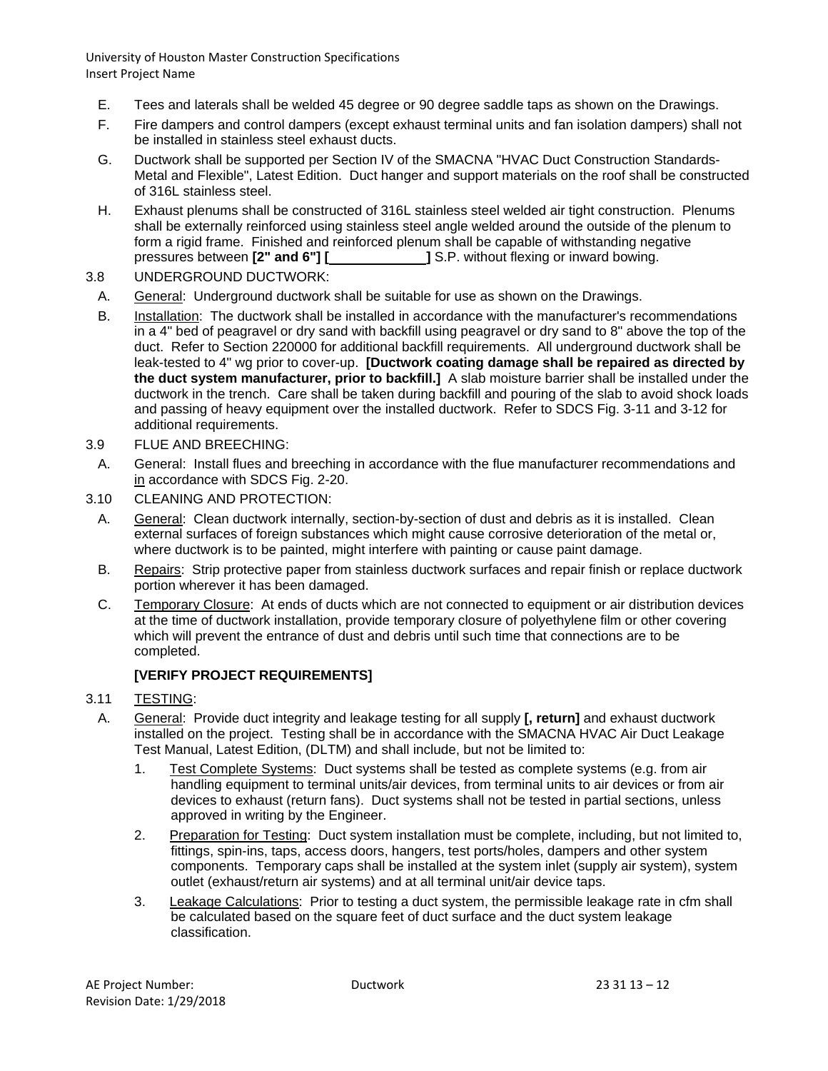- E. Tees and laterals shall be welded 45 degree or 90 degree saddle taps as shown on the Drawings.
- F. Fire dampers and control dampers (except exhaust terminal units and fan isolation dampers) shall not be installed in stainless steel exhaust ducts.
- G. Ductwork shall be supported per Section IV of the SMACNA "HVAC Duct Construction Standards-Metal and Flexible", Latest Edition. Duct hanger and support materials on the roof shall be constructed of 316L stainless steel.
- H. Exhaust plenums shall be constructed of 316L stainless steel welded air tight construction. Plenums shall be externally reinforced using stainless steel angle welded around the outside of the plenum to form a rigid frame. Finished and reinforced plenum shall be capable of withstanding negative pressures between **[2" and 6"] [ ]** S.P. without flexing or inward bowing.
- 3.8 UNDERGROUND DUCTWORK:
	- A. General: Underground ductwork shall be suitable for use as shown on the Drawings.
	- B. Installation: The ductwork shall be installed in accordance with the manufacturer's recommendations in a 4" bed of peagravel or dry sand with backfill using peagravel or dry sand to 8" above the top of the duct. Refer to Section 220000 for additional backfill requirements. All underground ductwork shall be leak-tested to 4" wg prior to cover-up. **[Ductwork coating damage shall be repaired as directed by the duct system manufacturer, prior to backfill.]** A slab moisture barrier shall be installed under the ductwork in the trench. Care shall be taken during backfill and pouring of the slab to avoid shock loads and passing of heavy equipment over the installed ductwork. Refer to SDCS Fig. 3-11 and 3-12 for additional requirements.
- 3.9 FLUE AND BREECHING:
- A. General: Install flues and breeching in accordance with the flue manufacturer recommendations and in accordance with SDCS Fig. 2-20.
- 3.10 CLEANING AND PROTECTION:
	- A. General: Clean ductwork internally, section-by-section of dust and debris as it is installed. Clean external surfaces of foreign substances which might cause corrosive deterioration of the metal or, where ductwork is to be painted, might interfere with painting or cause paint damage.
	- B. Repairs: Strip protective paper from stainless ductwork surfaces and repair finish or replace ductwork portion wherever it has been damaged.
	- C. Temporary Closure: At ends of ducts which are not connected to equipment or air distribution devices at the time of ductwork installation, provide temporary closure of polyethylene film or other covering which will prevent the entrance of dust and debris until such time that connections are to be completed.

## **[VERIFY PROJECT REQUIREMENTS]**

- 3.11 TESTING:
	- A. General: Provide duct integrity and leakage testing for all supply **[, return]** and exhaust ductwork installed on the project. Testing shall be in accordance with the SMACNA HVAC Air Duct Leakage Test Manual, Latest Edition, (DLTM) and shall include, but not be limited to:
		- 1. Test Complete Systems: Duct systems shall be tested as complete systems (e.g. from air handling equipment to terminal units/air devices, from terminal units to air devices or from air devices to exhaust (return fans). Duct systems shall not be tested in partial sections, unless approved in writing by the Engineer.
		- 2. Preparation for Testing: Duct system installation must be complete, including, but not limited to, fittings, spin-ins, taps, access doors, hangers, test ports/holes, dampers and other system components. Temporary caps shall be installed at the system inlet (supply air system), system outlet (exhaust/return air systems) and at all terminal unit/air device taps.
		- 3. Leakage Calculations: Prior to testing a duct system, the permissible leakage rate in cfm shall be calculated based on the square feet of duct surface and the duct system leakage classification.